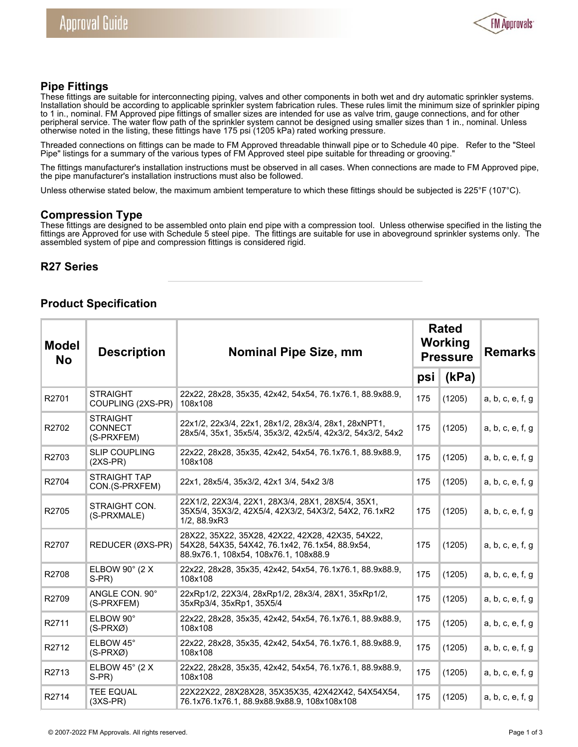

## **Pipe Fittings**

These fittings are suitable for interconnecting piping, valves and other components in both wet and dry automatic sprinkler systems. Installation should be according to applicable sprinkler system fabrication rules. These rules limit the minimum size of sprinkler piping to 1 in., nominal. FM Approved pipe fittings of smaller sizes are intended for use as valve trim, gauge connections, and for other peripheral service. The water flow path of the sprinkler system cannot be designed using smaller sizes than 1 in., nominal. Unless otherwise noted in the listing, these fittings have 175 psi (1205 kPa) rated working pressure.

Threaded connections on fittings can be made to FM Approved threadable thinwall pipe or to Schedule 40 pipe. Refer to the "Steel Pipe" listings for a summary of the various types of FM Approved steel pipe suitable for threading or grooving."

The fittings manufacturer's installation instructions must be observed in all cases. When connections are made to FM Approved pipe, the pipe manufacturer's installation instructions must also be followed.

Unless otherwise stated below, the maximum ambient temperature to which these fittings should be subjected is 225°F (107°C).

#### **Compression Type**

These fittings are designed to be assembled onto plain end pipe with a compression tool. Unless otherwise specified in the listing the fittings are Approved for use with Schedule 5 steel pipe. The fittings are suitable for use in aboveground sprinkler systems only. The assembled system of pipe and compression fittings is considered rigid.

## **R27 Series**

# **Product Specification**

| <b>Model</b><br><b>No</b> | <b>Description</b>                              | <b>Nominal Pipe Size, mm</b>                                                                                                                 | <b>Rated</b><br>Working<br><b>Pressure</b> |        | <b>Remarks</b>   |
|---------------------------|-------------------------------------------------|----------------------------------------------------------------------------------------------------------------------------------------------|--------------------------------------------|--------|------------------|
|                           |                                                 |                                                                                                                                              | psi                                        | (kPa)  |                  |
| R2701                     | <b>STRAIGHT</b><br>COUPLING (2XS-PR)            | 22x22, 28x28, 35x35, 42x42, 54x54, 76.1x76.1, 88.9x88.9,<br>108x108                                                                          | 175                                        | (1205) | a, b, c, e, f, g |
| R2702                     | <b>STRAIGHT</b><br><b>CONNECT</b><br>(S-PRXFEM) | 22x1/2, 22x3/4, 22x1, 28x1/2, 28x3/4, 28x1, 28xNPT1,<br>28x5/4, 35x1, 35x5/4, 35x3/2, 42x5/4, 42x3/2, 54x3/2, 54x2                           | 175                                        | (1205) | a, b, c, e, f, g |
| R2703                     | <b>SLIP COUPLING</b><br>$(2XS-PR)$              | 22x22, 28x28, 35x35, 42x42, 54x54, 76.1x76.1, 88.9x88.9,<br>108x108                                                                          | 175                                        | (1205) | a, b, c, e, f, g |
| R2704                     | STRAIGHT TAP<br>CON.(S-PRXFEM)                  | 22x1, 28x5/4, 35x3/2, 42x1 3/4, 54x2 3/8                                                                                                     | 175                                        | (1205) | a, b, c, e, f, g |
| R2705                     | STRAIGHT CON.<br>(S-PRXMALE)                    | 22X1/2, 22X3/4, 22X1, 28X3/4, 28X1, 28X5/4, 35X1,<br>35X5/4, 35X3/2, 42X5/4, 42X3/2, 54X3/2, 54X2, 76.1xR2<br>1/2, 88.9xR3                   | 175                                        | (1205) | a, b, c, e, f, g |
| R2707                     | REDUCER (ØXS-PR)                                | 28X22, 35X22, 35X28, 42X22, 42X28, 42X35, 54X22,<br>54X28, 54X35, 54X42, 76.1x42, 76.1x54, 88.9x54,<br>88.9x76.1, 108x54, 108x76.1, 108x88.9 | 175                                        | (1205) | a, b, c, e, f, g |
| R2708                     | ELBOW $90^\circ$ (2 X<br>S-PR)                  | 22x22, 28x28, 35x35, 42x42, 54x54, 76.1x76.1, 88.9x88.9,<br>108x108                                                                          | 175                                        | (1205) | a, b, c, e, f, g |
| R2709                     | ANGLE CON. 90°<br>(S-PRXFEM)                    | 22xRp1/2, 22X3/4, 28xRp1/2, 28x3/4, 28X1, 35xRp1/2,<br>35xRp3/4, 35xRp1, 35X5/4                                                              | 175                                        | (1205) | a, b, c, e, f, g |
| R2711                     | ELBOW 90°<br>$(S-PRXØ)$                         | 22x22, 28x28, 35x35, 42x42, 54x54, 76.1x76.1, 88.9x88.9,<br>108x108                                                                          | 175                                        | (1205) | a, b, c, e, f, g |
| R2712                     | ELBOW 45°<br>$(S-PRXØ)$                         | 22x22, 28x28, 35x35, 42x42, 54x54, 76.1x76.1, 88.9x88.9,<br>108x108                                                                          | 175                                        | (1205) | a, b, c, e, f, g |
| R2713                     | ELBOW 45 $^{\circ}$ (2 X<br>S-PR)               | 22x22, 28x28, 35x35, 42x42, 54x54, 76.1x76.1, 88.9x88.9,<br>108x108                                                                          | 175                                        | (1205) | a, b, c, e, f, g |
| R2714                     | <b>TEE EQUAL</b><br>$(3XS-PR)$                  | 22X22X22, 28X28X28, 35X35X35, 42X42X42, 54X54X54,<br>76.1x76.1x76.1, 88.9x88.9x88.9, 108x108x108                                             | 175                                        | (1205) | a, b, c, e, f, g |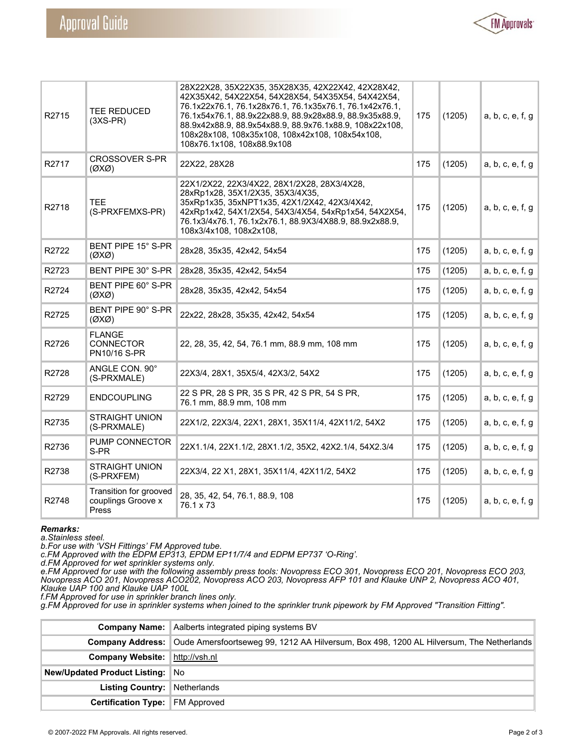

| R2715 | TEE REDUCED<br>$(3XS-PR)$                             | 28X22X28, 35X22X35, 35X28X35, 42X22X42, 42X28X42,<br>42X35X42, 54X22X54, 54X28X54, 54X35X54, 54X42X54,<br>76.1x22x76.1, 76.1x28x76.1, 76.1x35x76.1, 76.1x42x76.1,<br>76.1x54x76.1, 88.9x22x88.9, 88.9x28x88.9, 88.9x35x88.9,<br>88.9x42x88.9, 88.9x54x88.9, 88.9x76.1x88.9, 108x22x108,<br>108x28x108, 108x35x108, 108x42x108, 108x54x108,<br>108x76.1x108, 108x88.9x108 | 175 | (1205) | a, b, c, e, f, g |
|-------|-------------------------------------------------------|--------------------------------------------------------------------------------------------------------------------------------------------------------------------------------------------------------------------------------------------------------------------------------------------------------------------------------------------------------------------------|-----|--------|------------------|
| R2717 | <b>CROSSOVER S-PR</b><br>$(\emptyset X\emptyset)$     | 22X22, 28X28                                                                                                                                                                                                                                                                                                                                                             | 175 | (1205) | a, b, c, e, f, g |
| R2718 | <b>TEE</b><br>(S-PRXFEMXS-PR)                         | 22X1/2X22, 22X3/4X22, 28X1/2X28, 28X3/4X28,<br>28xRp1x28, 35X1/2X35, 35X3/4X35,<br>35xRp1x35, 35xNPT1x35, 42X1/2X42, 42X3/4X42,<br>42xRp1x42, 54X1/2X54, 54X3/4X54, 54xRp1x54, 54X2X54,<br>76.1x3/4x76.1, 76.1x2x76.1, 88.9X3/4X88.9, 88.9x2x88.9,<br>108x3/4x108, 108x2x108,                                                                                            | 175 | (1205) | a, b, c, e, f, g |
| R2722 | BENT PIPE 15° S-PR<br>$(\emptyset X \emptyset)$       | 28x28, 35x35, 42x42, 54x54                                                                                                                                                                                                                                                                                                                                               | 175 | (1205) | a, b, c, e, f, g |
| R2723 | BENT PIPE 30° S-PR                                    | 28x28, 35x35, 42x42, 54x54                                                                                                                                                                                                                                                                                                                                               | 175 | (1205) | a, b, c, e, f, g |
| R2724 | BENT PIPE 60° S-PR<br>$(\emptyset X \emptyset)$       | 28x28, 35x35, 42x42, 54x54                                                                                                                                                                                                                                                                                                                                               | 175 | (1205) | a, b, c, e, f, g |
| R2725 | BENT PIPE 90° S-PR<br>$(\emptyset X \emptyset)$       | 22x22, 28x28, 35x35, 42x42, 54x54                                                                                                                                                                                                                                                                                                                                        | 175 | (1205) | a, b, c, e, f, g |
| R2726 | <b>FLANGE</b><br><b>CONNECTOR</b><br>PN10/16 S-PR     | 22, 28, 35, 42, 54, 76.1 mm, 88.9 mm, 108 mm                                                                                                                                                                                                                                                                                                                             | 175 | (1205) | a, b, c, e, f, g |
| R2728 | ANGLE CON. 90°<br>(S-PRXMALE)                         | 22X3/4, 28X1, 35X5/4, 42X3/2, 54X2                                                                                                                                                                                                                                                                                                                                       | 175 | (1205) | a, b, c, e, f, g |
| R2729 | <b>ENDCOUPLING</b>                                    | 22 S PR, 28 S PR, 35 S PR, 42 S PR, 54 S PR,<br>76.1 mm, 88.9 mm, 108 mm                                                                                                                                                                                                                                                                                                 | 175 | (1205) | a, b, c, e, f, g |
| R2735 | <b>STRAIGHT UNION</b><br>(S-PRXMALE)                  | 22X1/2, 22X3/4, 22X1, 28X1, 35X11/4, 42X11/2, 54X2                                                                                                                                                                                                                                                                                                                       | 175 | (1205) | a, b, c, e, f, g |
| R2736 | PUMP CONNECTOR<br>S-PR                                | 22X1.1/4, 22X1.1/2, 28X1.1/2, 35X2, 42X2.1/4, 54X2.3/4                                                                                                                                                                                                                                                                                                                   | 175 | (1205) | a, b, c, e, f, g |
| R2738 | <b>STRAIGHT UNION</b><br>(S-PRXFEM)                   | 22X3/4, 22 X1, 28X1, 35X11/4, 42X11/2, 54X2                                                                                                                                                                                                                                                                                                                              | 175 | (1205) | a, b, c, e, f, g |
| R2748 | Transition for grooved<br>couplings Groove x<br>Press | 28, 35, 42, 54, 76.1, 88.9, 108<br>76.1 x 73                                                                                                                                                                                                                                                                                                                             | 175 | (1205) | a, b, c, e, f, g |

#### *Remarks:*

*a.Stainless steel.* 

*b.For use with 'VSH Fittings' FM Approved tube.* 

*c.FM Approved with the EDPM EP313, EPDM EP11/7/4 and EDPM EP737 'O-Ring'.* 

*d.FM Approved for wet sprinkler systems only.* 

*e.FM Approved for use with the following assembly press tools: Novopress ECO 301, Novopress ECO 201, Novopress ECO 203, Novopress ACO 201, Novopress ACO202, Novopress ACO 203, Novopress AFP 101 and Klauke UNP 2, Novopress ACO 401, Klauke UAP 100 and Klauke UAP 100L* 

*f.FM Approved for use in sprinkler branch lines only.* 

*g.FM Approved for use in sprinkler systems when joined to the sprinkler trunk pipework by FM Approved "Transition Fitting".* 

|                                        | <b>Company Name:</b> Aalberts integrated piping systems BV                                                 |
|----------------------------------------|------------------------------------------------------------------------------------------------------------|
|                                        | Company Address:   Oude Amersfoortseweg 99, 1212 AA Hilversum, Box 498, 1200 AL Hilversum, The Netherlands |
| <b>Company Website:</b> http://vsh.nl  |                                                                                                            |
| <b>New/Updated Product Listing: No</b> |                                                                                                            |
| Listing Country: Netherlands           |                                                                                                            |
| <b>Certification Type: FM Approved</b> |                                                                                                            |